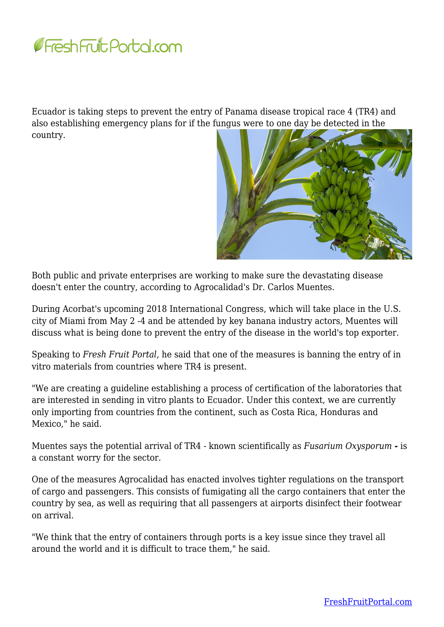

Ecuador is taking steps to prevent the entry of Panama disease tropical race 4 (TR4) and also establishing emergency plans for if the fungus were to one day be detected in the country.



Both public and private enterprises are working to make sure the devastating disease doesn't enter the country, according to Agrocalidad's Dr. Carlos Muentes.

During Acorbat's upcoming 2018 International Congress, which will take place in the U.S. city of Miami from May 2 -4 and be attended by key banana industry actors, Muentes will discuss what is being done to prevent the entry of the disease in the world's top exporter.

Speaking to *Fresh Fruit Portal*, he said that one of the measures is banning the entry of in vitro materials from countries where TR4 is present.

"We are creating a guideline establishing a process of certification of the laboratories that are interested in sending in vitro plants to Ecuador. Under this context, we are currently only importing from countries from the continent, such as Costa Rica, Honduras and Mexico," he said.

Muentes says the potential arrival of TR4 - known scientifically as *Fusarium Oxysporum -* is a constant worry for the sector.

One of the measures Agrocalidad has enacted involves tighter regulations on the transport of cargo and passengers. This consists of fumigating all the cargo containers that enter the country by sea, as well as requiring that all passengers at airports disinfect their footwear on arrival.

"We think that the entry of containers through ports is a key issue since they travel all around the world and it is difficult to trace them," he said.